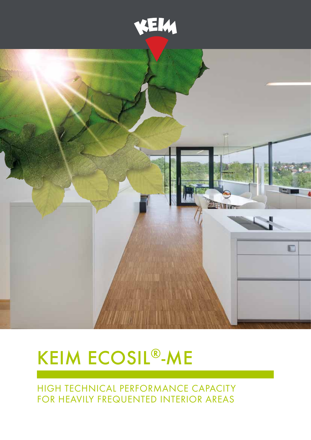



# KEIM ECOSIL<sup>®</sup>-ME

High technical performance capacity for heavily frequented interior areas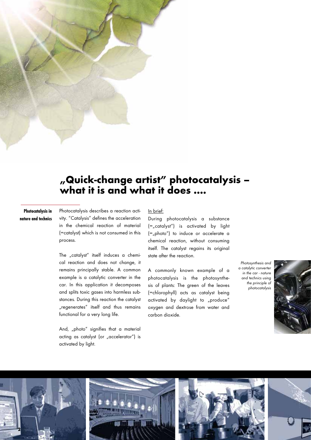

#### **Photocatalysis in nature and technics**

Photocatalysis describes a reaction activity. "Catalysis" defines the acceleration in the chemical reaction of material (=catalyst) which is not consumed in this process.

The "catalyst" itself induces a chemical reaction and does not change, it remains principally stable. A common example is a catalytic converter in the car. In this application it decomposes and splits toxic gases into harmless substances. During this reaction the catalyst "regenerates" itself and thus remains functional for a very long life.

And, "photo" signifies that a material acting as catalyst (or "accelerator") is activated by light.

#### In brief:

During photocatalysis a substance  $(=$ <sub>n</sub>catalyst") is activated by light  $(=$ <sub>n</sub>photo") to induce or accelerate a chemical reaction, without consuming itself. The catalyst regains its original state after the reaction.

A commonly known example of a photocatalysis is the photosynthesis of plants: The green of the leaves (=chlorophyll) acts as catalyst being activated by daylight to "produce" oxygen and dextrose from water and carbon dioxide.

*Photosynthesis and a catalytic converter in the car - nature and technics using the principle of photocatalysis*



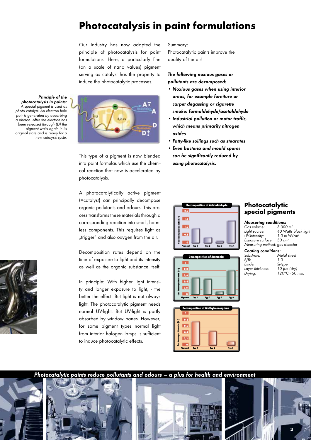## **Photocatalysis in paint formulations**

Our Industry has now adopted the principle of photocatalysis for paint formulations. Here, a particularly fine (on a scale of nano values) pigment serving as catalyst has the property to induce the photocatalytic processes.



This type of a pigment is now blended into paint formulas which use the chemical reaction that now is accelerated by photocatalysis.

A photocatalytically active pigment (=catalyst) can principally decompose organic pollutants and odours. This process transforms these materials through a corresponding reaction into small, harmless components. This requires light as "trigger" and also oxygen from the air.

Decomposition rates depend on the time of exposure to light and its intensity as well as the organic substance itself.

In principle: With higher light intensity and longer exposure to light, - the better the effect. But light is not always light. The photocatalytic pigment needs normal UV-light. But UV-light is partly absorbed by window panes. However, for some pigment types normal light from interior halogen lamps is sufficient to induce photocatalytic effects.

Summary:

Photocatalytic paints improve the quality of the air!

#### *The following noxious gases or pollutants are decomposed:*

- • Noxious gases when using interior *areas, for example furniture or carpet degassing or cigarette smoke: formaldehyde/acetaldehyde*
- • Industrial pollution or motor traffic, *which means primarily nitrogen oxides*
- • Fatty-like soilings such as stearates
- • Even bacteria and mould spores can be significantly reduced by *using photocatalysis.*







### **Photocatalytic special pigments**

| <b>Measuring conditions:</b>         |                           |  |
|--------------------------------------|---------------------------|--|
| Gas volume:                          | $3.000$ ml                |  |
| Light source:                        | 40 Watts black light      |  |
| UV-intensity:                        | $1.0$ m W/cm <sup>2</sup> |  |
| Exposure surface: 50 cm <sup>2</sup> |                           |  |
| Measuring method: gas detector       |                           |  |
|                                      |                           |  |

|  | <b>Coating conditions:</b> |
|--|----------------------------|
|--|----------------------------|

| Substrate:       | Metal sheet      |
|------------------|------------------|
| P/B:             | 1 O              |
| Binder:          | Si-type          |
| Layer thickness: | $10 \mu m$ (dry) |
| Drying:          | 120°C - 60 min.  |
|                  |                  |



*Photocatalytic paints reduce pollutants and odours – a plus for health and environment*



*Principle of the photocatalysis in paints: A special pigment is used as photo catalyst. An electron hole pair is generated by absorbing a photon. After the electron has been released through (D) the pigment waits again in its original state and is ready for a new catalysis cycle.*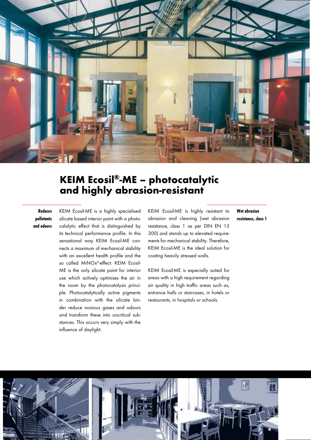

## **KEIM Ecosil®-ME – photocatalytic and highly abrasion-resistant**

#### **Reduces pollutants and odours**

KEIM Ecosil-ME is a highly specialised silicate based interior paint with a photocalalytic effect that is distinguished by its technical performance profile. In this sensational way KEIM Ecosil-ME connects a maximum of mechanical stability with an excellent health profile and the so called MiNOx®-effect. KEIM Ecosil-ME is the only silicate paint for interior use which actively optimises the air in the room by the photocatalysis principle. Photocatalytically active pigments in combination with the silicate binder reduce noxious gases and odours and transform these into uncritical substances. This occurs very simply with the influence of daylight.

KEIM Ecosil-ME is highly resistant to abrasion and cleaning (wet abrasion resistance, class 1 as per DIN EN 13 300) and stands up to elevated requirements for mechanical stability. Therefore, KEIM Ecosil-ME is the ideal solution for coating heavily stressed walls.

KEIM Ecosil-ME is especially suited for areas with a high requirement regarding air quality in high traffic areas such as, entrance halls or staircases, in hotels or restaurants, in hospitals or schools.

**Wet abrasion resistance, class 1**

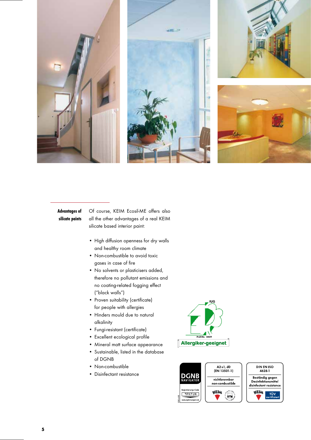

#### **Advantages of silicate paints**

Of course, KEIM Ecosil-ME offers also all the other advantages of a real KEIM silicate based interior paint:

- • High diffusion openness for dry walls and healthy room climate
- Non-combustible to avoid toxic gases in case of fire
- No solvents or plasticisers added, therefore no pollutant emissions and no coating-related fogging effect ("black walls")
- Proven suitability (certificate) for people with allergies
- • Hinders mould due to natural alkalinity
- • Fungi-resistant (certificate)
- • Excellent ecological profile
- Mineral matt surface appearance
- • Sustainable, listed in the database of DGNB
- Non-combustible
- • Disinfectant resistance